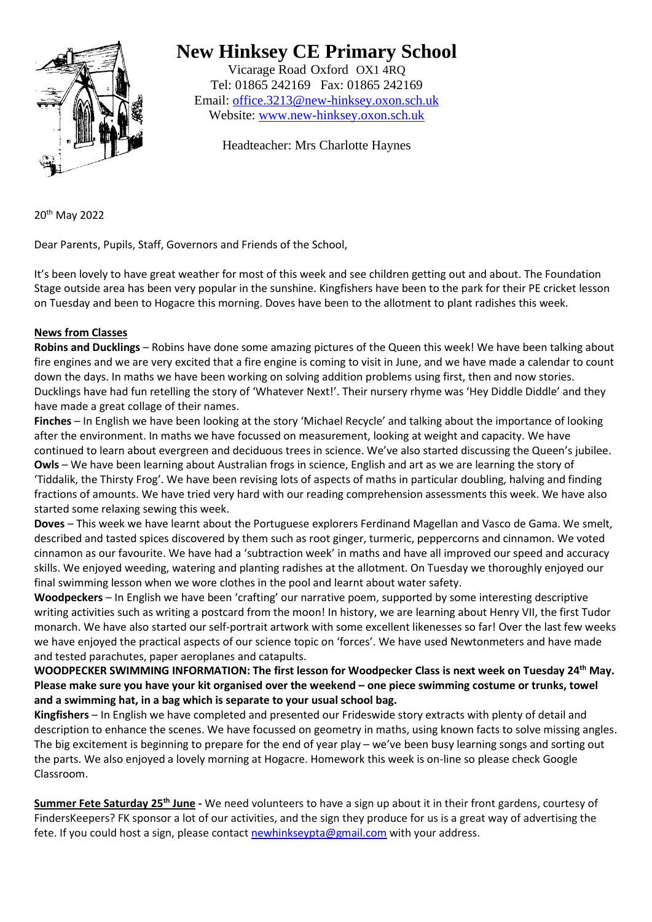

## **New Hinksey CE Primary School**

Vicarage Road Oxford OX1 4RQ Tel: 01865 242169 Fax: 01865 242169 Email: [office.3213@new-hinksey.oxon.sch.uk](mailto:office.3213@new-hinksey.oxon.sch.uk) Website: [www.new-hinksey.oxon.sch.uk](http://www.new-hinksey.oxon.sch.uk/)

Headteacher: Mrs Charlotte Haynes

20th May 2022

Dear Parents, Pupils, Staff, Governors and Friends of the School,

It's been lovely to have great weather for most of this week and see children getting out and about. The Foundation Stage outside area has been very popular in the sunshine. Kingfishers have been to the park for their PE cricket lesson on Tuesday and been to Hogacre this morning. Doves have been to the allotment to plant radishes this week.

## **News from Classes**

**Robins and Ducklings** – Robins have done some amazing pictures of the Queen this week! We have been talking about fire engines and we are very excited that a fire engine is coming to visit in June, and we have made a calendar to count down the days. In maths we have been working on solving addition problems using first, then and now stories. Ducklings have had fun retelling the story of 'Whatever Next!'. Their nursery rhyme was 'Hey Diddle Diddle' and they have made a great collage of their names.

**Finches** – In English we have been looking at the story 'Michael Recycle' and talking about the importance of looking after the environment. In maths we have focussed on measurement, looking at weight and capacity. We have continued to learn about evergreen and deciduous trees in science. We've also started discussing the Queen's jubilee. **Owls** – We have been learning about Australian frogs in science, English and art as we are learning the story of 'Tiddalik, the Thirsty Frog'. We have been revising lots of aspects of maths in particular doubling, halving and finding fractions of amounts. We have tried very hard with our reading comprehension assessments this week. We have also started some relaxing sewing this week.

**Doves** – This week we have learnt about the Portuguese explorers Ferdinand Magellan and Vasco de Gama. We smelt, described and tasted spices discovered by them such as root ginger, turmeric, peppercorns and cinnamon. We voted cinnamon as our favourite. We have had a 'subtraction week' in maths and have all improved our speed and accuracy skills. We enjoyed weeding, watering and planting radishes at the allotment. On Tuesday we thoroughly enjoyed our final swimming lesson when we wore clothes in the pool and learnt about water safety.

**Woodpeckers** – In English we have been 'crafting' our narrative poem, supported by some interesting descriptive writing activities such as writing a postcard from the moon! In history, we are learning about Henry VII, the first Tudor monarch. We have also started our self-portrait artwork with some excellent likenesses so far! Over the last few weeks we have enjoyed the practical aspects of our science topic on 'forces'. We have used Newtonmeters and have made and tested parachutes, paper aeroplanes and catapults.

**WOODPECKER SWIMMING INFORMATION: The first lesson for Woodpecker Class is next week on Tuesday 24th May. Please make sure you have your kit organised over the weekend – one piece swimming costume or trunks, towel and a swimming hat, in a bag which is separate to your usual school bag.**

**Kingfishers** – In English we have completed and presented our Frideswide story extracts with plenty of detail and description to enhance the scenes. We have focussed on geometry in maths, using known facts to solve missing angles. The big excitement is beginning to prepare for the end of year play – we've been busy learning songs and sorting out the parts. We also enjoyed a lovely morning at Hogacre. Homework this week is on-line so please check Google Classroom.

**Summer Fete Saturday 25th June -** We need volunteers to have a sign up about it in their front gardens, courtesy of FindersKeepers? FK sponsor a lot of our activities, and the sign they produce for us is a great way of advertising the fete. If you could host a sign, please contact [newhinkseypta@gmail.com](mailto:newhinkseypta@gmail.com) with your address.